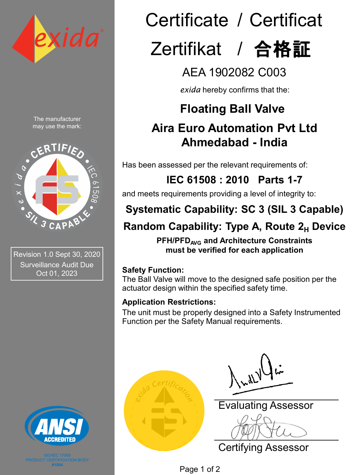

The manufacturer may use the mark:



Revision 1.0 Sept 30, 2020 Surveillance Audit Due Oct 01, 2023



**#1004**

# Certificate / Certificat

## Zertifikat / 合格証

## AEA 1902082 C003

*exida* hereby confirms that the:

## **Floating Ball Valve**

## **Aira Euro Automation Pvt Ltd Ahmedabad - India**

Has been assessed per the relevant requirements of:

## **IEC 61508 : 2010 Parts 1-7**

and meets requirements providing a level of integrity to:

## **Systematic Capability: SC 3 (SIL 3 Capable)**

## **Random Capability: Type A, Route 2<sub>H</sub> Device**

**PFH/PFD<sub>AVG</sub>** and Architecture Constraints **must be verified for each application**

#### **Safety Function:**

The Ball Valve will move to the designed safe position per the actuator design within the specified safety time.

#### **Application Restrictions:**

The unit must be properly designed into a Safety Instrumented Function per the Safety Manual requirements.



Evaluating Assessor

Certifying Assessor

Page 1 of 2